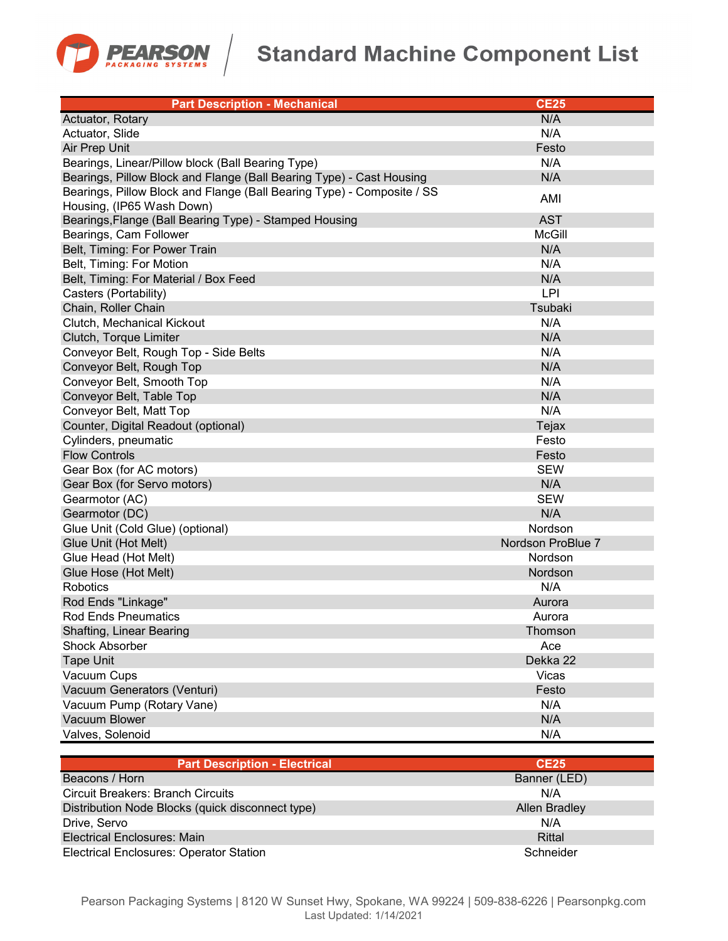

## **Standard Machine Component List**

| <b>Part Description - Mechanical</b>                                   | <b>CE25</b>       |
|------------------------------------------------------------------------|-------------------|
| Actuator, Rotary                                                       | N/A               |
| Actuator, Slide                                                        | N/A               |
| Air Prep Unit                                                          | Festo             |
| Bearings, Linear/Pillow block (Ball Bearing Type)                      | N/A               |
| Bearings, Pillow Block and Flange (Ball Bearing Type) - Cast Housing   | N/A               |
| Bearings, Pillow Block and Flange (Ball Bearing Type) - Composite / SS | AMI               |
| Housing, (IP65 Wash Down)                                              |                   |
| Bearings, Flange (Ball Bearing Type) - Stamped Housing                 | <b>AST</b>        |
| Bearings, Cam Follower                                                 | <b>McGill</b>     |
| Belt, Timing: For Power Train                                          | N/A               |
| Belt, Timing: For Motion                                               | N/A               |
| Belt, Timing: For Material / Box Feed                                  | N/A               |
| Casters (Portability)                                                  | LPI               |
| Chain, Roller Chain                                                    | Tsubaki           |
| Clutch, Mechanical Kickout                                             | N/A               |
| Clutch, Torque Limiter                                                 | N/A               |
| Conveyor Belt, Rough Top - Side Belts                                  | N/A               |
| Conveyor Belt, Rough Top                                               | N/A               |
| Conveyor Belt, Smooth Top                                              | N/A               |
| Conveyor Belt, Table Top                                               | N/A               |
| Conveyor Belt, Matt Top                                                | N/A               |
| Counter, Digital Readout (optional)                                    | Tejax             |
| Cylinders, pneumatic                                                   | Festo             |
| <b>Flow Controls</b>                                                   | Festo             |
| Gear Box (for AC motors)                                               | <b>SEW</b>        |
| Gear Box (for Servo motors)                                            | N/A               |
| Gearmotor (AC)                                                         | <b>SEW</b>        |
| Gearmotor (DC)                                                         | N/A               |
| Glue Unit (Cold Glue) (optional)                                       | Nordson           |
| Glue Unit (Hot Melt)                                                   | Nordson ProBlue 7 |
| Glue Head (Hot Melt)                                                   | Nordson           |
| Glue Hose (Hot Melt)                                                   | Nordson           |
| <b>Robotics</b>                                                        | N/A               |
| Rod Ends "Linkage"                                                     | Aurora            |
| <b>Rod Ends Pneumatics</b>                                             | Aurora            |
| <b>Shafting, Linear Bearing</b>                                        | Thomson           |
| <b>Shock Absorber</b>                                                  | Ace               |
| <b>Tape Unit</b>                                                       | Dekka 22          |
| Vacuum Cups                                                            | Vicas             |
| Vacuum Generators (Venturi)                                            | Festo             |
| Vacuum Pump (Rotary Vane)                                              | N/A               |
| Vacuum Blower                                                          | N/A               |
| Valves, Solenoid                                                       | N/A               |

| <b>Part Description - Electrical</b>             | CE25          |
|--------------------------------------------------|---------------|
| Beacons / Horn                                   | Banner (LED)  |
| <b>Circuit Breakers: Branch Circuits</b>         | N/A           |
| Distribution Node Blocks (quick disconnect type) | Allen Bradley |
| Drive, Servo                                     | N/A           |
| Electrical Enclosures: Main                      | Rittal        |
| <b>Electrical Enclosures: Operator Station</b>   | Schneider     |